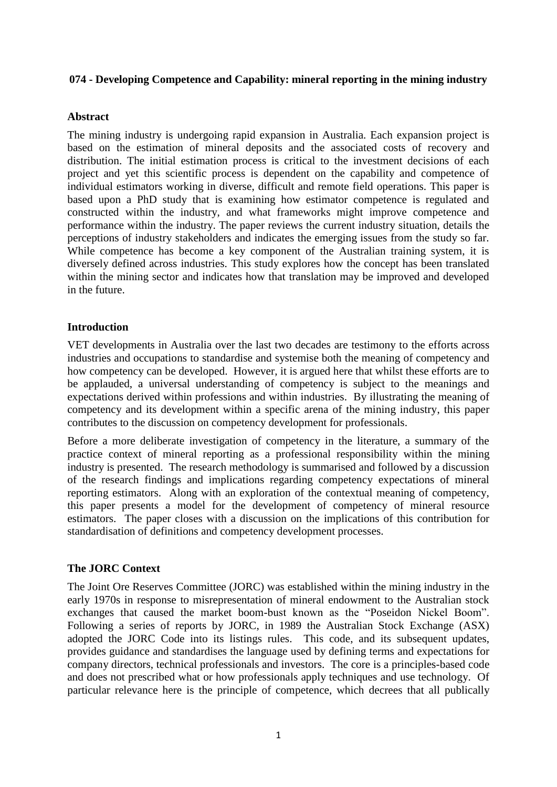### **074 - Developing Competence and Capability: mineral reporting in the mining industry**

## **Abstract**

The mining industry is undergoing rapid expansion in Australia. Each expansion project is based on the estimation of mineral deposits and the associated costs of recovery and distribution. The initial estimation process is critical to the investment decisions of each project and yet this scientific process is dependent on the capability and competence of individual estimators working in diverse, difficult and remote field operations. This paper is based upon a PhD study that is examining how estimator competence is regulated and constructed within the industry, and what frameworks might improve competence and performance within the industry. The paper reviews the current industry situation, details the perceptions of industry stakeholders and indicates the emerging issues from the study so far. While competence has become a key component of the Australian training system, it is diversely defined across industries. This study explores how the concept has been translated within the mining sector and indicates how that translation may be improved and developed in the future.

## **Introduction**

VET developments in Australia over the last two decades are testimony to the efforts across industries and occupations to standardise and systemise both the meaning of competency and how competency can be developed. However, it is argued here that whilst these efforts are to be applauded, a universal understanding of competency is subject to the meanings and expectations derived within professions and within industries. By illustrating the meaning of competency and its development within a specific arena of the mining industry, this paper contributes to the discussion on competency development for professionals.

Before a more deliberate investigation of competency in the literature, a summary of the practice context of mineral reporting as a professional responsibility within the mining industry is presented. The research methodology is summarised and followed by a discussion of the research findings and implications regarding competency expectations of mineral reporting estimators. Along with an exploration of the contextual meaning of competency, this paper presents a model for the development of competency of mineral resource estimators. The paper closes with a discussion on the implications of this contribution for standardisation of definitions and competency development processes.

### **The JORC Context**

The Joint Ore Reserves Committee (JORC) was established within the mining industry in the early 1970s in response to misrepresentation of mineral endowment to the Australian stock exchanges that caused the market boom-bust known as the "Poseidon Nickel Boom". Following a series of reports by JORC, in 1989 the Australian Stock Exchange (ASX) adopted the JORC Code into its listings rules. This code, and its subsequent updates, provides guidance and standardises the language used by defining terms and expectations for company directors, technical professionals and investors. The core is a principles-based code and does not prescribed what or how professionals apply techniques and use technology. Of particular relevance here is the principle of competence, which decrees that all publically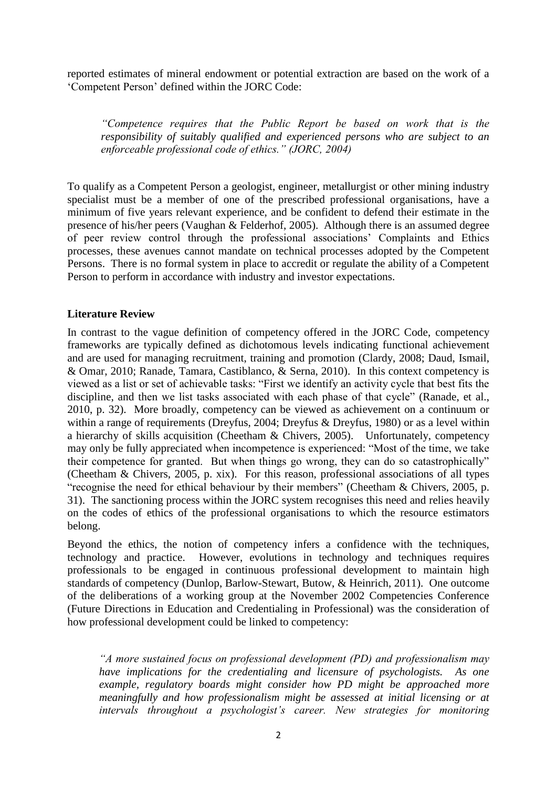reported estimates of mineral endowment or potential extraction are based on the work of a 'Competent Person' defined within the JORC Code:

*"Competence requires that the Public Report be based on work that is the responsibility of suitably qualified and experienced persons who are subject to an enforceable professional code of ethics." (JORC, 2004)*

To qualify as a Competent Person a geologist, engineer, metallurgist or other mining industry specialist must be a member of one of the prescribed professional organisations, have a minimum of five years relevant experience, and be confident to defend their estimate in the presence of his/her peers [\(Vaughan & Felderhof, 2005\)](#page-8-0). Although there is an assumed degree of peer review control through the professional associations' Complaints and Ethics processes, these avenues cannot mandate on technical processes adopted by the Competent Persons. There is no formal system in place to accredit or regulate the ability of a Competent Person to perform in accordance with industry and investor expectations.

## **Literature Review**

In contrast to the vague definition of competency offered in the JORC Code, competency frameworks are typically defined as dichotomous levels indicating functional achievement and are used for managing recruitment, training and promotion [\(Clardy, 2008;](#page-7-0) [Daud, Ismail,](#page-7-1)  [& Omar, 2010;](#page-7-1) [Ranade, Tamara, Castiblanco, & Serna, 2010\)](#page-8-1). In this context competency is viewed as a list or set of achievable tasks: "First we identify an activity cycle that best fits the discipline, and then we list tasks associated with each phase of that cycle" [\(Ranade, et al.,](#page-8-1)  [2010, p. 32\)](#page-8-1). More broadly, competency can be viewed as achievement on a continuum or within a range of requirements [\(Dreyfus, 2004;](#page-7-2) [Dreyfus & Dreyfus, 1980\)](#page-7-3) or as a level within a hierarchy of skills acquisition [\(Cheetham & Chivers, 2005\)](#page-7-4). Unfortunately, competency may only be fully appreciated when incompetence is experienced: "Most of the time, we take their competence for granted. But when things go wrong, they can do so catastrophically" [\(Cheetham & Chivers, 2005, p. xix\)](#page-7-4). For this reason, professional associations of all types "recognise the need for ethical behaviour by their members" [\(Cheetham & Chivers, 2005, p.](#page-7-4)  [31\)](#page-7-4). The sanctioning process within the JORC system recognises this need and relies heavily on the codes of ethics of the professional organisations to which the resource estimators belong.

Beyond the ethics, the notion of competency infers a confidence with the techniques, technology and practice. However, evolutions in technology and techniques requires professionals to be engaged in continuous professional development to maintain high standards of competency [\(Dunlop, Barlow-Stewart, Butow, & Heinrich, 2011\)](#page-7-5). One outcome of the deliberations of a working group at the November 2002 Competencies Conference (Future Directions in Education and Credentialing in Professional) was the consideration of how professional development could be linked to competency:

*"A more sustained focus on professional development (PD) and professionalism may have implications for the credentialing and licensure of psychologists. As one example, regulatory boards might consider how PD might be approached more meaningfully and how professionalism might be assessed at initial licensing or at intervals throughout a psychologist's career. New strategies for monitoring*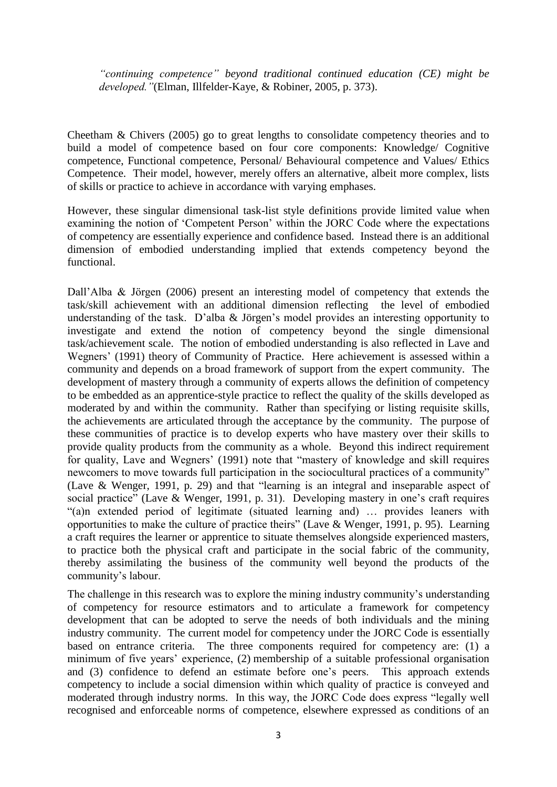*"continuing competence" beyond traditional continued education (CE) might be developed."*[\(Elman, Illfelder-Kaye, &](#page-7-6) Robiner, 2005, p. 373).

Cheetham & Chivers [\(2005\)](#page-7-4) go to great lengths to consolidate competency theories and to build a model of competence based on four core components: Knowledge/ Cognitive competence, Functional competence, Personal/ Behavioural competence and Values/ Ethics Competence. Their model, however, merely offers an alternative, albeit more complex, lists of skills or practice to achieve in accordance with varying emphases.

However, these singular dimensional task-list style definitions provide limited value when examining the notion of 'Competent Person' within the JORC Code where the expectations of competency are essentially experience and confidence based. Instead there is an additional dimension of embodied understanding implied that extends competency beyond the functional.

Dall'Alba & Jörgen [\(2006\)](#page-7-7) present an interesting model of competency that extends the task/skill achievement with an additional dimension reflecting the level of embodied understanding of the task. D'alba & Jörgen's model provides an interesting opportunity to investigate and extend the notion of competency beyond the single dimensional task/achievement scale. The notion of embodied understanding is also reflected in Lave and Wegners' [\(1991\)](#page-7-8) theory of Community of Practice. Here achievement is assessed within a community and depends on a broad framework of support from the expert community. The development of mastery through a community of experts allows the definition of competency to be embedded as an apprentice-style practice to reflect the quality of the skills developed as moderated by and within the community. Rather than specifying or listing requisite skills, the achievements are articulated through the acceptance by the community. The purpose of these communities of practice is to develop experts who have mastery over their skills to provide quality products from the community as a whole. Beyond this indirect requirement for quality, Lave and Wegners' [\(1991\)](#page-7-8) note that "mastery of knowledge and skill requires newcomers to move towards full participation in the sociocultural practices of a community" [\(Lave & Wenger, 1991, p. 29\)](#page-7-8) and that "learning is an integral and inseparable aspect of social practice" [\(Lave & Wenger, 1991, p. 31\)](#page-7-8). Developing mastery in one's craft requires "(a)n extended period of legitimate (situated learning and) … provides leaners with opportunities to make the culture of practice theirs" [\(Lave & Wenger, 1991, p. 95\)](#page-7-8). Learning a craft requires the learner or apprentice to situate themselves alongside experienced masters, to practice both the physical craft and participate in the social fabric of the community, thereby assimilating the business of the community well beyond the products of the community's labour.

The challenge in this research was to explore the mining industry community's understanding of competency for resource estimators and to articulate a framework for competency development that can be adopted to serve the needs of both individuals and the mining industry community. The current model for competency under the JORC Code is essentially based on entrance criteria. The three components required for competency are: (1) a minimum of five years' experience, (2) membership of a suitable professional organisation and (3) confidence to defend an estimate before one's peers. This approach extends competency to include a social dimension within which quality of practice is conveyed and moderated through industry norms. In this way, the JORC Code does express "legally well recognised and enforceable norms of competence, elsewhere expressed as conditions of an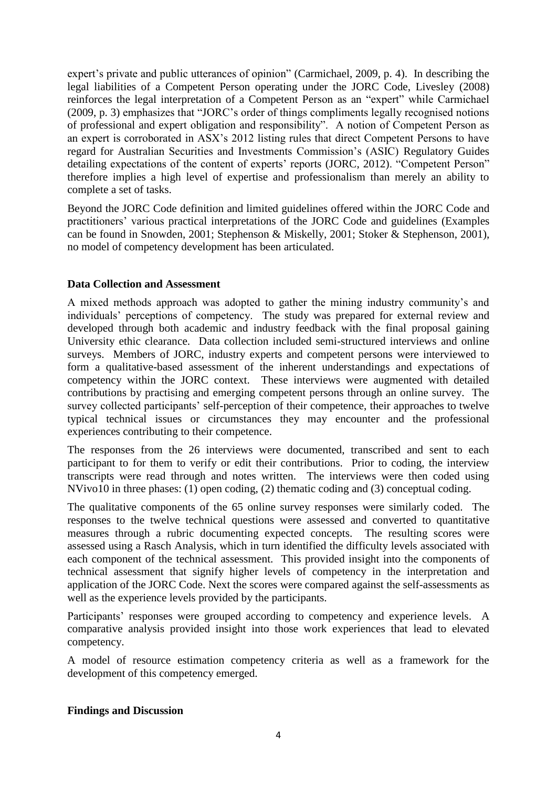expert's private and public utterances of opinion" [\(Carmichael, 2009, p. 4\)](#page-7-9). In describing the legal liabilities of a Competent Person operating under the JORC Code, Livesley [\(2008\)](#page-8-2) reinforces the legal interpretation of a Competent Person as an "expert" while Carmichael [\(2009, p. 3\)](#page-7-9) emphasizes that "JORC's order of things compliments legally recognised notions of professional and expert obligation and responsibility". A notion of Competent Person as an expert is corroborated in ASX's 2012 listing rules that direct Competent Persons to have regard for Australian Securities and Investments Commission's (ASIC) Regulatory Guides detailing expectations of the content of experts' reports [\(JORC, 2012\)](#page-7-10). "Competent Person" therefore implies a high level of expertise and professionalism than merely an ability to complete a set of tasks.

Beyond the JORC Code definition and limited guidelines offered within the JORC Code and practitioners' various practical interpretations of the JORC Code and guidelines (Examples can be found in [Snowden, 2001;](#page-8-3) [Stephenson & Miskelly, 2001;](#page-8-4) [Stoker & Stephenson, 2001\)](#page-8-5), no model of competency development has been articulated.

## **Data Collection and Assessment**

A mixed methods approach was adopted to gather the mining industry community's and individuals' perceptions of competency. The study was prepared for external review and developed through both academic and industry feedback with the final proposal gaining University ethic clearance. Data collection included semi-structured interviews and online surveys. Members of JORC, industry experts and competent persons were interviewed to form a qualitative-based assessment of the inherent understandings and expectations of competency within the JORC context. These interviews were augmented with detailed contributions by practising and emerging competent persons through an online survey. The survey collected participants' self-perception of their competence, their approaches to twelve typical technical issues or circumstances they may encounter and the professional experiences contributing to their competence.

The responses from the 26 interviews were documented, transcribed and sent to each participant to for them to verify or edit their contributions. Prior to coding, the interview transcripts were read through and notes written. The interviews were then coded using NVivo10 in three phases: (1) open coding, (2) thematic coding and (3) conceptual coding.

The qualitative components of the 65 online survey responses were similarly coded. The responses to the twelve technical questions were assessed and converted to quantitative measures through a rubric documenting expected concepts. The resulting scores were assessed using a Rasch Analysis, which in turn identified the difficulty levels associated with each component of the technical assessment. This provided insight into the components of technical assessment that signify higher levels of competency in the interpretation and application of the JORC Code. Next the scores were compared against the self-assessments as well as the experience levels provided by the participants.

Participants' responses were grouped according to competency and experience levels. A comparative analysis provided insight into those work experiences that lead to elevated competency.

A model of resource estimation competency criteria as well as a framework for the development of this competency emerged.

### **Findings and Discussion**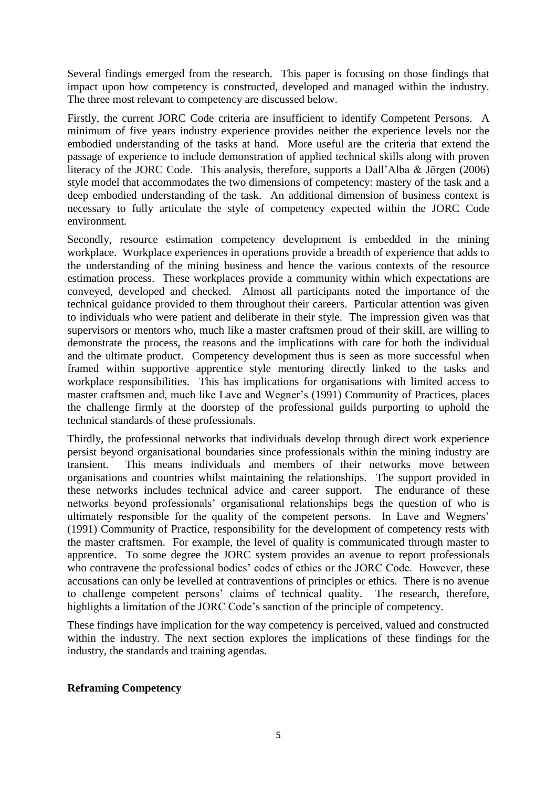Several findings emerged from the research. This paper is focusing on those findings that impact upon how competency is constructed, developed and managed within the industry. The three most relevant to competency are discussed below.

Firstly, the current JORC Code criteria are insufficient to identify Competent Persons. A minimum of five years industry experience provides neither the experience levels nor the embodied understanding of the tasks at hand. More useful are the criteria that extend the passage of experience to include demonstration of applied technical skills along with proven literacy of the JORC Code. This analysis, therefore, supports a Dall'Alba & Jörgen [\(2006\)](#page-7-7) style model that accommodates the two dimensions of competency: mastery of the task and a deep embodied understanding of the task. An additional dimension of business context is necessary to fully articulate the style of competency expected within the JORC Code environment.

Secondly, resource estimation competency development is embedded in the mining workplace. Workplace experiences in operations provide a breadth of experience that adds to the understanding of the mining business and hence the various contexts of the resource estimation process. These workplaces provide a community within which expectations are conveyed, developed and checked. Almost all participants noted the importance of the technical guidance provided to them throughout their careers. Particular attention was given to individuals who were patient and deliberate in their style. The impression given was that supervisors or mentors who, much like a master craftsmen proud of their skill, are willing to demonstrate the process, the reasons and the implications with care for both the individual and the ultimate product. Competency development thus is seen as more successful when framed within supportive apprentice style mentoring directly linked to the tasks and workplace responsibilities. This has implications for organisations with limited access to master craftsmen and, much like Lave and Wegner's [\(1991\)](#page-7-8) Community of Practices, places the challenge firmly at the doorstep of the professional guilds purporting to uphold the technical standards of these professionals.

Thirdly, the professional networks that individuals develop through direct work experience persist beyond organisational boundaries since professionals within the mining industry are transient. This means individuals and members of their networks move between organisations and countries whilst maintaining the relationships. The support provided in these networks includes technical advice and career support. The endurance of these networks beyond professionals' organisational relationships begs the question of who is ultimately responsible for the quality of the competent persons. In Lave and Wegners' [\(1991\)](#page-7-8) Community of Practice, responsibility for the development of competency rests with the master craftsmen. For example, the level of quality is communicated through master to apprentice. To some degree the JORC system provides an avenue to report professionals who contravene the professional bodies' codes of ethics or the JORC Code. However, these accusations can only be levelled at contraventions of principles or ethics. There is no avenue to challenge competent persons' claims of technical quality. The research, therefore, highlights a limitation of the JORC Code's sanction of the principle of competency.

These findings have implication for the way competency is perceived, valued and constructed within the industry. The next section explores the implications of these findings for the industry, the standards and training agendas.

### **Reframing Competency**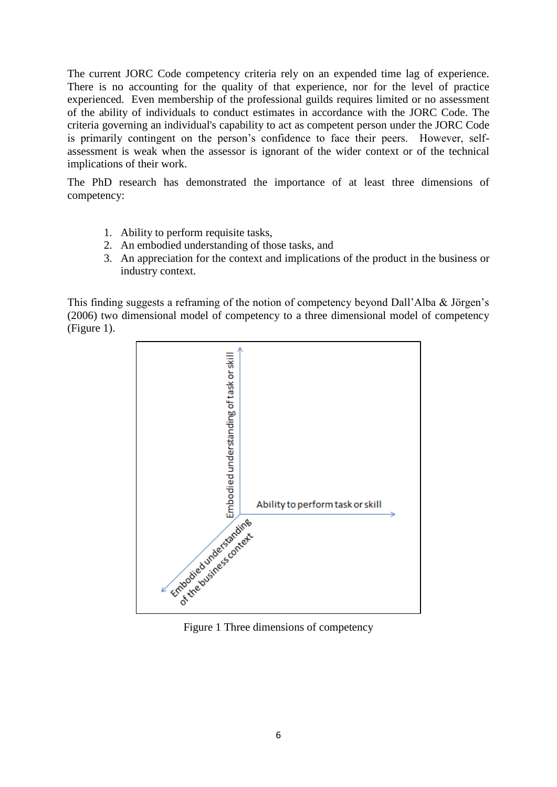The current JORC Code competency criteria rely on an expended time lag of experience. There is no accounting for the quality of that experience, nor for the level of practice experienced. Even membership of the professional guilds requires limited or no assessment of the ability of individuals to conduct estimates in accordance with the JORC Code. The criteria governing an individual's capability to act as competent person under the JORC Code is primarily contingent on the person's confidence to face their peers. However, selfassessment is weak when the assessor is ignorant of the wider context or of the technical implications of their work.

The PhD research has demonstrated the importance of at least three dimensions of competency:

- 1. Ability to perform requisite tasks,
- 2. An embodied understanding of those tasks, and
- 3. An appreciation for the context and implications of the product in the business or industry context.

This finding suggests a reframing of the notion of competency beyond Dall'Alba & Jörgen's [\(2006\)](#page-7-7) two dimensional model of competency to a three dimensional model of competency [\(Figure 1\)](#page-5-0).



<span id="page-5-0"></span>Figure 1 Three dimensions of competency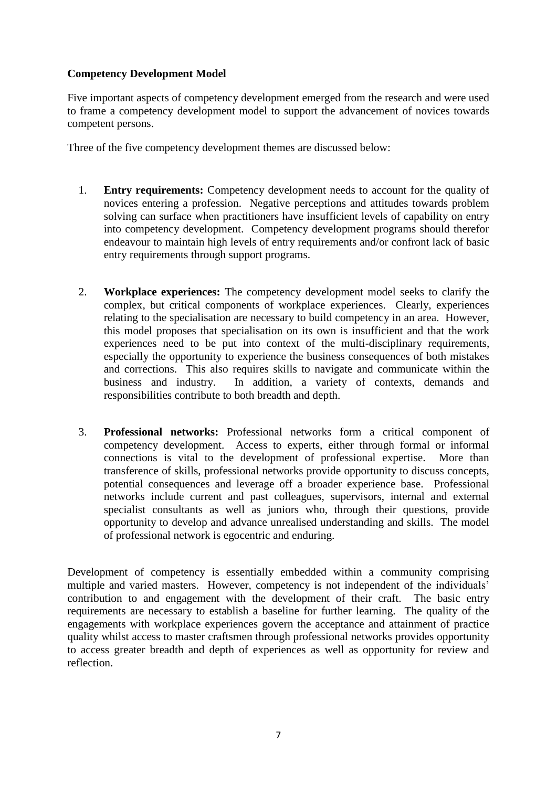# **Competency Development Model**

Five important aspects of competency development emerged from the research and were used to frame a competency development model to support the advancement of novices towards competent persons.

Three of the five competency development themes are discussed below:

- 1. **Entry requirements:** Competency development needs to account for the quality of novices entering a profession. Negative perceptions and attitudes towards problem solving can surface when practitioners have insufficient levels of capability on entry into competency development. Competency development programs should therefor endeavour to maintain high levels of entry requirements and/or confront lack of basic entry requirements through support programs.
- 2. **Workplace experiences:** The competency development model seeks to clarify the complex, but critical components of workplace experiences. Clearly, experiences relating to the specialisation are necessary to build competency in an area. However, this model proposes that specialisation on its own is insufficient and that the work experiences need to be put into context of the multi-disciplinary requirements, especially the opportunity to experience the business consequences of both mistakes and corrections. This also requires skills to navigate and communicate within the business and industry. In addition, a variety of contexts, demands and responsibilities contribute to both breadth and depth.
- 3. **Professional networks:** Professional networks form a critical component of competency development. Access to experts, either through formal or informal connections is vital to the development of professional expertise. More than transference of skills, professional networks provide opportunity to discuss concepts, potential consequences and leverage off a broader experience base. Professional networks include current and past colleagues, supervisors, internal and external specialist consultants as well as juniors who, through their questions, provide opportunity to develop and advance unrealised understanding and skills. The model of professional network is egocentric and enduring.

Development of competency is essentially embedded within a community comprising multiple and varied masters. However, competency is not independent of the individuals' contribution to and engagement with the development of their craft. The basic entry requirements are necessary to establish a baseline for further learning. The quality of the engagements with workplace experiences govern the acceptance and attainment of practice quality whilst access to master craftsmen through professional networks provides opportunity to access greater breadth and depth of experiences as well as opportunity for review and reflection.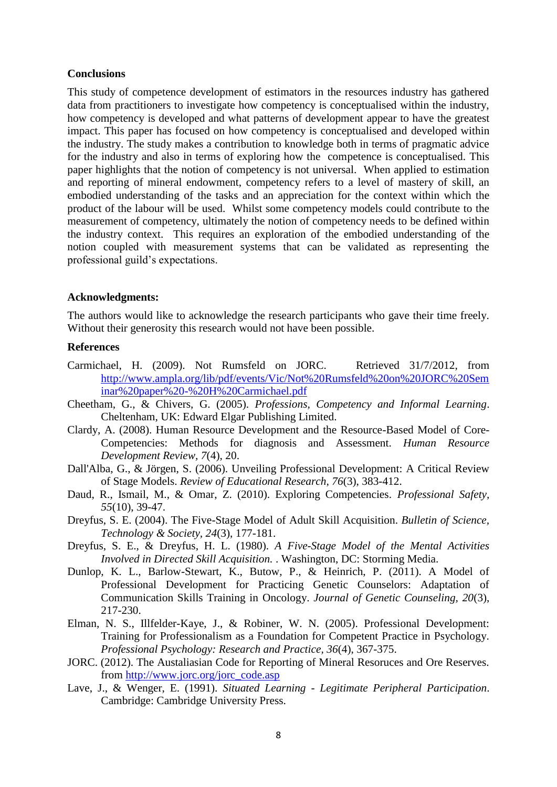#### **Conclusions**

This study of competence development of estimators in the resources industry has gathered data from practitioners to investigate how competency is conceptualised within the industry, how competency is developed and what patterns of development appear to have the greatest impact. This paper has focused on how competency is conceptualised and developed within the industry. The study makes a contribution to knowledge both in terms of pragmatic advice for the industry and also in terms of exploring how the competence is conceptualised. This paper highlights that the notion of competency is not universal. When applied to estimation and reporting of mineral endowment, competency refers to a level of mastery of skill, an embodied understanding of the tasks and an appreciation for the context within which the product of the labour will be used. Whilst some competency models could contribute to the measurement of competency, ultimately the notion of competency needs to be defined within the industry context. This requires an exploration of the embodied understanding of the notion coupled with measurement systems that can be validated as representing the professional guild's expectations.

#### **Acknowledgments:**

The authors would like to acknowledge the research participants who gave their time freely. Without their generosity this research would not have been possible.

## **References**

- <span id="page-7-9"></span>Carmichael, H. (2009). Not Rumsfeld on JORC. Retrieved 31/7/2012, from [http://www.ampla.org/lib/pdf/events/Vic/Not%20Rumsfeld%20on%20JORC%20Sem](http://www.ampla.org/lib/pdf/events/Vic/Not%20Rumsfeld%20on%20JORC%20Seminar%20paper%20-%20H%20Carmichael.pdf) [inar%20paper%20-%20H%20Carmichael.pdf](http://www.ampla.org/lib/pdf/events/Vic/Not%20Rumsfeld%20on%20JORC%20Seminar%20paper%20-%20H%20Carmichael.pdf)
- <span id="page-7-4"></span>Cheetham, G., & Chivers, G. (2005). *Professions, Competency and Informal Learning*. Cheltenham, UK: Edward Elgar Publishing Limited.
- <span id="page-7-0"></span>Clardy, A. (2008). Human Resource Development and the Resource-Based Model of Core-Competencies: Methods for diagnosis and Assessment. *Human Resource Development Review, 7*(4), 20.
- <span id="page-7-7"></span>Dall'Alba, G., & Jörgen, S. (2006). Unveiling Professional Development: A Critical Review of Stage Models. *Review of Educational Research, 76*(3), 383-412.
- <span id="page-7-1"></span>Daud, R., Ismail, M., & Omar, Z. (2010). Exploring Competencies. *Professional Safety, 55*(10), 39-47.
- <span id="page-7-2"></span>Dreyfus, S. E. (2004). The Five-Stage Model of Adult Skill Acquisition. *Bulletin of Science, Technology & Society, 24*(3), 177-181.
- <span id="page-7-3"></span>Dreyfus, S. E., & Dreyfus, H. L. (1980). *A Five-Stage Model of the Mental Activities Involved in Directed Skill Acquisition.* . Washington, DC: Storming Media.
- <span id="page-7-5"></span>Dunlop, K. L., Barlow-Stewart, K., Butow, P., & Heinrich, P. (2011). A Model of Professional Development for Practicing Genetic Counselors: Adaptation of Communication Skills Training in Oncology. *Journal of Genetic Counseling, 20*(3), 217-230.
- <span id="page-7-6"></span>Elman, N. S., Illfelder-Kaye, J., & Robiner, W. N. (2005). Professional Development: Training for Professionalism as a Foundation for Competent Practice in Psychology. *Professional Psychology: Research and Practice, 36*(4), 367-375.
- <span id="page-7-10"></span>JORC. (2012). The Austaliasian Code for Reporting of Mineral Resoruces and Ore Reserves. from [http://www.jorc.org/jorc\\_code.asp](http://www.jorc.org/jorc_code.asp)
- <span id="page-7-8"></span>Lave, J., & Wenger, E. (1991). *Situated Learning - Legitimate Peripheral Participation*. Cambridge: Cambridge University Press.